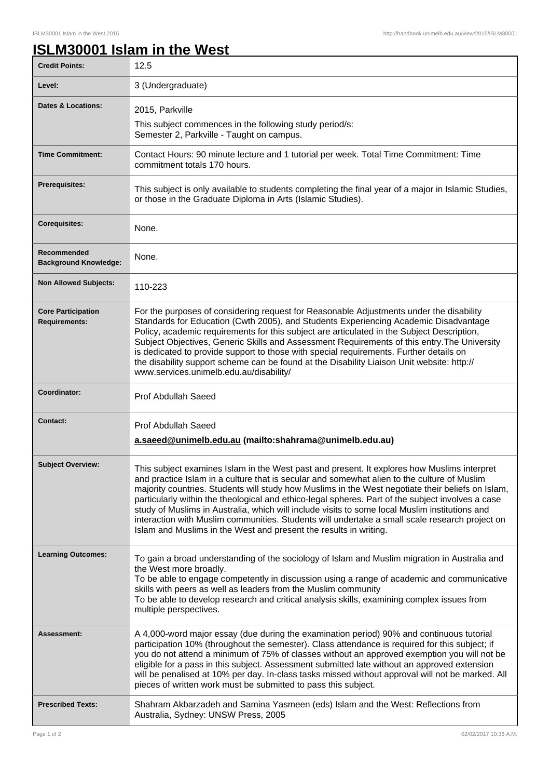## **ISLM30001 Islam in the West**

| <b>Credit Points:</b>                             | 12.5                                                                                                                                                                                                                                                                                                                                                                                                                                                                                                                                                                                                                                                                          |
|---------------------------------------------------|-------------------------------------------------------------------------------------------------------------------------------------------------------------------------------------------------------------------------------------------------------------------------------------------------------------------------------------------------------------------------------------------------------------------------------------------------------------------------------------------------------------------------------------------------------------------------------------------------------------------------------------------------------------------------------|
| Level:                                            | 3 (Undergraduate)                                                                                                                                                                                                                                                                                                                                                                                                                                                                                                                                                                                                                                                             |
| <b>Dates &amp; Locations:</b>                     | 2015, Parkville<br>This subject commences in the following study period/s:<br>Semester 2, Parkville - Taught on campus.                                                                                                                                                                                                                                                                                                                                                                                                                                                                                                                                                       |
| <b>Time Commitment:</b>                           | Contact Hours: 90 minute lecture and 1 tutorial per week. Total Time Commitment: Time<br>commitment totals 170 hours.                                                                                                                                                                                                                                                                                                                                                                                                                                                                                                                                                         |
| <b>Prerequisites:</b>                             | This subject is only available to students completing the final year of a major in Islamic Studies,<br>or those in the Graduate Diploma in Arts (Islamic Studies).                                                                                                                                                                                                                                                                                                                                                                                                                                                                                                            |
| <b>Corequisites:</b>                              | None.                                                                                                                                                                                                                                                                                                                                                                                                                                                                                                                                                                                                                                                                         |
| Recommended<br><b>Background Knowledge:</b>       | None.                                                                                                                                                                                                                                                                                                                                                                                                                                                                                                                                                                                                                                                                         |
| <b>Non Allowed Subjects:</b>                      | 110-223                                                                                                                                                                                                                                                                                                                                                                                                                                                                                                                                                                                                                                                                       |
| <b>Core Participation</b><br><b>Requirements:</b> | For the purposes of considering request for Reasonable Adjustments under the disability<br>Standards for Education (Cwth 2005), and Students Experiencing Academic Disadvantage<br>Policy, academic requirements for this subject are articulated in the Subject Description,<br>Subject Objectives, Generic Skills and Assessment Requirements of this entry. The University<br>is dedicated to provide support to those with special requirements. Further details on<br>the disability support scheme can be found at the Disability Liaison Unit website: http://<br>www.services.unimelb.edu.au/disability/                                                              |
| Coordinator:                                      | <b>Prof Abdullah Saeed</b>                                                                                                                                                                                                                                                                                                                                                                                                                                                                                                                                                                                                                                                    |
| <b>Contact:</b>                                   | <b>Prof Abdullah Saeed</b><br>a.saeed@unimelb.edu.au (mailto:shahrama@unimelb.edu.au)                                                                                                                                                                                                                                                                                                                                                                                                                                                                                                                                                                                         |
| <b>Subject Overview:</b>                          | This subject examines Islam in the West past and present. It explores how Muslims interpret<br>and practice Islam in a culture that is secular and somewhat alien to the culture of Muslim<br>majority countries. Students will study how Muslims in the West negotiate their beliefs on Islam,<br>particularly within the theological and ethico-legal spheres. Part of the subject involves a case<br>study of Muslims in Australia, which will include visits to some local Muslim institutions and<br>interaction with Muslim communities. Students will undertake a small scale research project on<br>Islam and Muslims in the West and present the results in writing. |
| <b>Learning Outcomes:</b>                         | To gain a broad understanding of the sociology of Islam and Muslim migration in Australia and<br>the West more broadly.<br>To be able to engage competently in discussion using a range of academic and communicative<br>skills with peers as well as leaders from the Muslim community<br>To be able to develop research and critical analysis skills, examining complex issues from<br>multiple perspectives.                                                                                                                                                                                                                                                               |
| <b>Assessment:</b>                                | A 4,000-word major essay (due during the examination period) 90% and continuous tutorial<br>participation 10% (throughout the semester). Class attendance is required for this subject; if<br>you do not attend a minimum of 75% of classes without an approved exemption you will not be<br>eligible for a pass in this subject. Assessment submitted late without an approved extension<br>will be penalised at 10% per day. In-class tasks missed without approval will not be marked. All<br>pieces of written work must be submitted to pass this subject.                                                                                                               |
| <b>Prescribed Texts:</b>                          | Shahram Akbarzadeh and Samina Yasmeen (eds) Islam and the West: Reflections from<br>Australia, Sydney: UNSW Press, 2005                                                                                                                                                                                                                                                                                                                                                                                                                                                                                                                                                       |